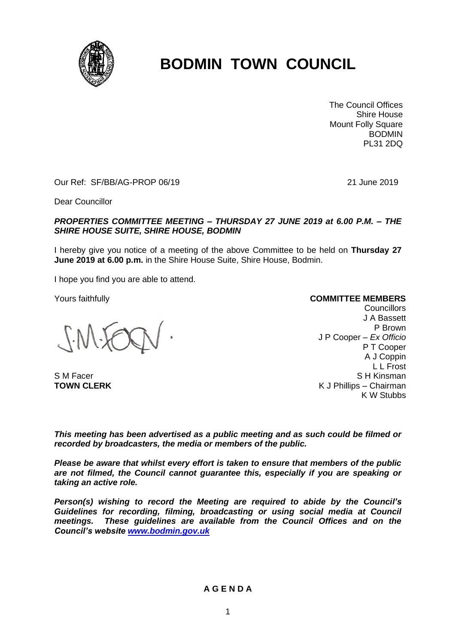

# **BODMIN TOWN COUNCIL**

The Council Offices Shire House Mount Folly Square BODMIN PL31 2DQ

Our Ref: SF/BB/AG-PROP 06/19 21 June 2019

Dear Councillor

## *PROPERTIES COMMITTEE MEETING – THURSDAY 27 JUNE 2019 at 6.00 P.M. – THE SHIRE HOUSE SUITE, SHIRE HOUSE, BODMIN*

I hereby give you notice of a meeting of the above Committee to be held on **Thursday 27 June 2019 at 6.00 p.m.** in the Shire House Suite, Shire House, Bodmin.

I hope you find you are able to attend.

Yours faithfully

S M Facer **TOWN CLERK**

### **COMMITTEE MEMBERS**

**Councillors** J A Bassett P Brown J P Cooper – *Ex Officio* P T Cooper A J Coppin L L Frost S H Kinsman K J Phillips – Chairman K W Stubbs

*This meeting has been advertised as a public meeting and as such could be filmed or recorded by broadcasters, the media or members of the public.*

*Please be aware that whilst every effort is taken to ensure that members of the public are not filmed, the Council cannot guarantee this, especially if you are speaking or taking an active role.*

*Person(s) wishing to record the Meeting are required to abide by the Council's Guidelines for recording, filming, broadcasting or using social media at Council meetings. These guidelines are available from the Council Offices and on the Council's website [www.bodmin.gov.uk](http://www.bodmin.gov.uk/)*

## **A G E N D A**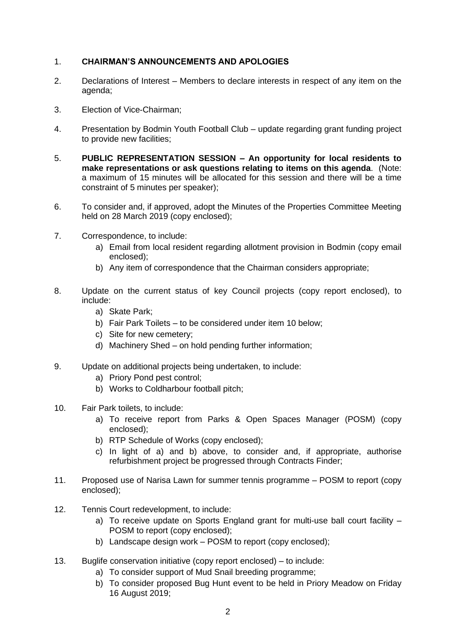## 1. **CHAIRMAN'S ANNOUNCEMENTS AND APOLOGIES**

- 2. Declarations of Interest Members to declare interests in respect of any item on the agenda;
- 3. Election of Vice-Chairman;
- 4. Presentation by Bodmin Youth Football Club update regarding grant funding project to provide new facilities;
- 5. **PUBLIC REPRESENTATION SESSION – An opportunity for local residents to make representations or ask questions relating to items on this agenda**. (Note: a maximum of 15 minutes will be allocated for this session and there will be a time constraint of 5 minutes per speaker);
- 6. To consider and, if approved, adopt the Minutes of the Properties Committee Meeting held on 28 March 2019 (copy enclosed);
- 7. Correspondence, to include:
	- a) Email from local resident regarding allotment provision in Bodmin (copy email enclosed);
	- b) Any item of correspondence that the Chairman considers appropriate;
- 8. Update on the current status of key Council projects (copy report enclosed), to include:
	- a) Skate Park;
	- b) Fair Park Toilets to be considered under item 10 below;
	- c) Site for new cemetery;
	- d) Machinery Shed on hold pending further information;
- 9. Update on additional projects being undertaken, to include:
	- a) Priory Pond pest control;
	- b) Works to Coldharbour football pitch;
- 10. Fair Park toilets, to include:
	- a) To receive report from Parks & Open Spaces Manager (POSM) (copy enclosed);
	- b) RTP Schedule of Works (copy enclosed);
	- c) In light of a) and b) above, to consider and, if appropriate, authorise refurbishment project be progressed through Contracts Finder;
- 11. Proposed use of Narisa Lawn for summer tennis programme POSM to report (copy enclosed);
- 12. Tennis Court redevelopment, to include:
	- a) To receive update on Sports England grant for multi-use ball court facility POSM to report (copy enclosed);
	- b) Landscape design work POSM to report (copy enclosed);
- 13. Buglife conservation initiative (copy report enclosed) to include:
	- a) To consider support of Mud Snail breeding programme;
	- b) To consider proposed Bug Hunt event to be held in Priory Meadow on Friday 16 August 2019;